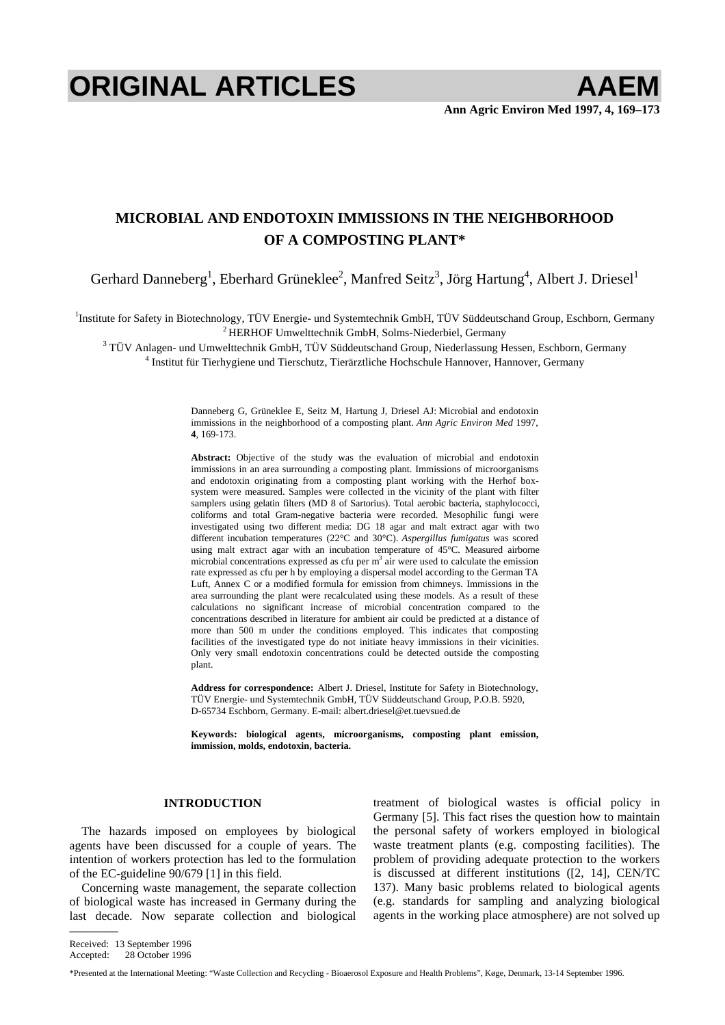# **ORIGINAL ARTICLES AAEM**

# **MICROBIAL AND ENDOTOXIN IMMISSIONS IN THE NEIGHBORHOOD OF A COMPOSTING PLANT\***

Gerhard Danneberg<sup>1</sup>, Eberhard Grüneklee<sup>2</sup>, Manfred Seitz<sup>3</sup>, Jörg Hartung<sup>4</sup>, Albert J. Driesel<sup>1</sup>

<sup>1</sup>Institute for Safety in Biotechnology, TÜV Energie- und Systemtechnik GmbH, TÜV Süddeutschand Group, Eschborn, Germany <sup>2</sup> HERHOF Umwelttechnik GmbH, Solms-Niederbiel, Germany <sup>3</sup> TÜV Anlagen, und Umwelttechnik GmbH, TÜ

<sup>3</sup> TÜV Anlagen- und Umwelttechnik GmbH, TÜV Süddeutschand Group, Niederlassung Hessen, Eschborn, Germany

<sup>4</sup> Institut für Tierhygiene und Tierschutz, Tierärztliche Hochschule Hannover, Hannover, Germany

Danneberg G, Grüneklee E, Seitz M, Hartung J, Driesel AJ: Microbial and endotoxin immissions in the neighborhood of a composting plant. *Ann Agric Environ Med* 1997, **4**, 169-173.

Abstract: Objective of the study was the evaluation of microbial and endotoxin immissions in an area surrounding a composting plant. Immissions of microorganisms and endotoxin originating from a composting plant working with the Herhof boxsystem were measured. Samples were collected in the vicinity of the plant with filter samplers using gelatin filters (MD 8 of Sartorius). Total aerobic bacteria, staphylococci, coliforms and total Gram-negative bacteria were recorded. Mesophilic fungi were investigated using two different media: DG 18 agar and malt extract agar with two different incubation temperatures (22°C and 30°C). *Aspergillus fumigatus* was scored using malt extract agar with an incubation temperature of 45°C. Measured airborne microbial concentrations expressed as cfu per  $m<sup>3</sup>$  air were used to calculate the emission rate expressed as cfu per h by employing a dispersal model according to the German TA Luft, Annex C or a modified formula for emission from chimneys. Immissions in the area surrounding the plant were recalculated using these models. As a result of these calculations no significant increase of microbial concentration compared to the concentrations described in literature for ambient air could be predicted at a distance of more than 500 m under the conditions employed. This indicates that composting facilities of the investigated type do not initiate heavy immissions in their vicinities. Only very small endotoxin concentrations could be detected outside the composting plant.

**Address for correspondence:** Albert J. Driesel, Institute for Safety in Biotechnology, TÜV Energie- und Systemtechnik GmbH, TÜV Süddeutschand Group, P.O.B. 5920, D-65734 Eschborn, Germany. E-mail[: albert.driesel@et.tuevsued.de](mailto:albert.driesel@et.tuevsued.de) 

**Keywords: biological agents, microorganisms, composting plant emission, immission, molds, endotoxin, bacteria.** 

### **INTRODUCTION**

The hazards imposed on employees by biological agents have been discussed for a couple of years. The intention of workers protection has led to the formulation of the EC-guideline 90/679 [1] in this field.

Concerning waste management, the separate collection of biological waste has increased in Germany during the last decade. Now separate collection and biological treatment of biological wastes is official policy in Germany [5]. This fact rises the question how to maintain the personal safety of workers employed in biological waste treatment plants (e.g. composting facilities). The problem of providing adequate protection to the workers is discussed at different institutions ([2, 14], CEN/TC 137). Many basic problems related to biological agents (e.g. standards for sampling and analyzing biological agents in the working place atmosphere) are not solved up

————

Received: 13 September 1996 Accepted: 28 October 1996

<sup>\*</sup>Presented at the International Meeting: "Waste Collection and Recycling - Bioaerosol Exposure and Health Problems", Køge, Denmark, 13-14 September 1996.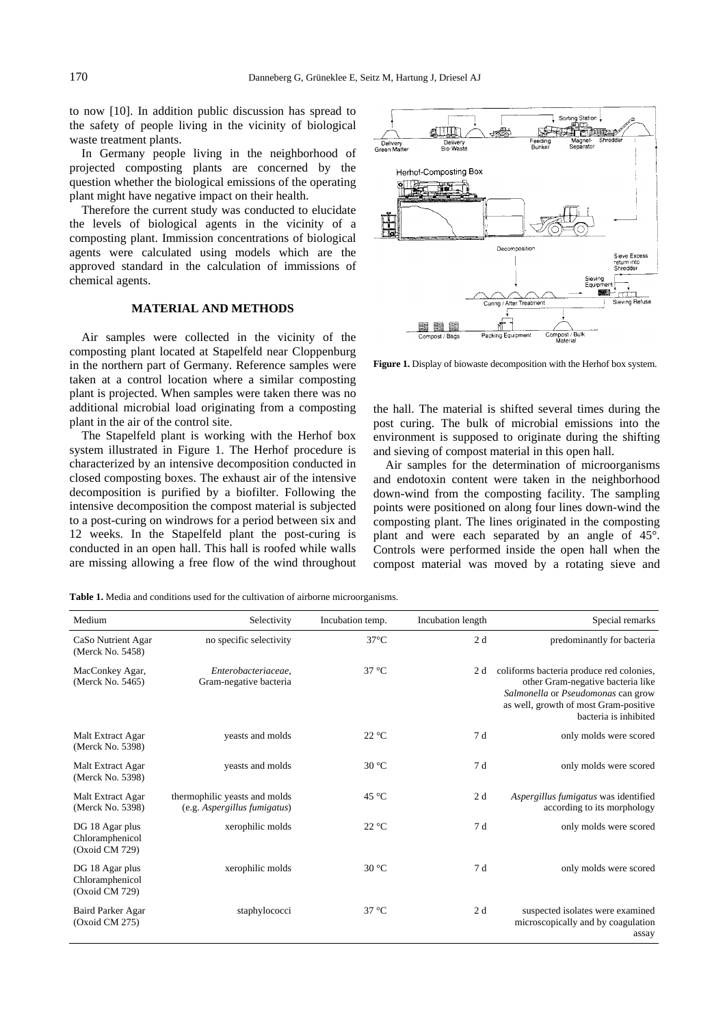<span id="page-1-0"></span>to now [10]. In addition public discussion has spread to the safety of people living in the vicinity of biological waste treatment plants.

In Germany people living in the neighborhood of projected composting plants are concerned by the question whether the biological emissions of the operating plant might have negative impact on their health.

Therefore the current study was conducted to elucidate the levels of biological agents in the vicinity of a composting plant. Immission concentrations of biological agents were calculated using models which are the approved standard in the calculation of immissions of chemical agents.

### **MATERIAL AND METHODS**

Air samples were collected in the vicinity of the composting plant located at Stapelfeld near Cloppenburg in the northern part of Germany. Reference samples were taken at a control location where a similar composting plant is projected. When samples were taken there was no additional microbial load originating from a composting plant in the air of the control site.

The Stapelfeld plant is working with the Herhof box system illustrated in Figure 1. The Herhof procedure is characterized by an intensive decomposition conducted in closed composting boxes. The exhaust air of the intensive decomposition is purified by a biofilter. Following the intensive decomposition the compost material is subjected to a post-curing on windrows for a period between six and 12 weeks. In the Stapelfeld plant the post-curing is conducted in an open hall. This hall is roofed while walls are missing allowing a free flow of the wind throughout



**Figure 1.** Display of biowaste decomposition with the Herhof box system.

the hall. The material is shifted several times during the post curing. The bulk of microbial emissions into the environment is supposed to originate during the shifting and sieving of compost material in this open hall.

Air samples for the determination of microorganisms and endotoxin content were taken in the neighborhood down-wind from the composting facility. The sampling points were positioned on along four lines down-wind the composting plant. The lines originated in the composting plant and were each separated by an angle of 45°. Controls were performed inside the open hall when the compost material was moved by a rotating sieve and

**Table 1.** Media and conditions used for the cultivation of airborne microorganisms.

| Medium                                               | Selectivity                                                   | Incubation temp. | Incubation length | Special remarks                                                                                                                                                                       |
|------------------------------------------------------|---------------------------------------------------------------|------------------|-------------------|---------------------------------------------------------------------------------------------------------------------------------------------------------------------------------------|
|                                                      |                                                               |                  |                   |                                                                                                                                                                                       |
| CaSo Nutrient Agar<br>(Merck No. 5458)               | no specific selectivity                                       | $37^{\circ}$ C   | 2d                | predominantly for bacteria                                                                                                                                                            |
| MacConkey Agar,<br>(Merck No. 5465)                  | Enterobacteriaceae,<br>Gram-negative bacteria                 | $37^{\circ}$ C   | 2 d               | coliforms bacteria produce red colonies,<br>other Gram-negative bacteria like<br>Salmonella or Pseudomonas can grow<br>as well, growth of most Gram-positive<br>bacteria is inhibited |
| Malt Extract Agar<br>(Merck No. 5398)                | yeasts and molds                                              | $22^{\circ}$ C   | 7d                | only molds were scored                                                                                                                                                                |
| Malt Extract Agar<br>(Merck No. 5398)                | yeasts and molds                                              | $30^{\circ}$ C   | 7d                | only molds were scored                                                                                                                                                                |
| Malt Extract Agar<br>(Merck No. 5398)                | thermophilic yeasts and molds<br>(e.g. Aspergillus fumigatus) | $45^{\circ}$ C   | 2d                | Aspergillus fumigatus was identified<br>according to its morphology                                                                                                                   |
| DG 18 Agar plus<br>Chloramphenicol<br>(Oxoid CM 729) | xerophilic molds                                              | 22 °C            | 7d                | only molds were scored                                                                                                                                                                |
| DG 18 Agar plus<br>Chloramphenicol<br>(Oxoid CM 729) | xerophilic molds                                              | $30^{\circ}$ C   | 7d                | only molds were scored                                                                                                                                                                |
| Baird Parker Agar<br>(Oxoid CM 275)                  | staphylococci                                                 | $37^{\circ}$ C   | 2d                | suspected isolates were examined<br>microscopically and by coagulation<br>assay                                                                                                       |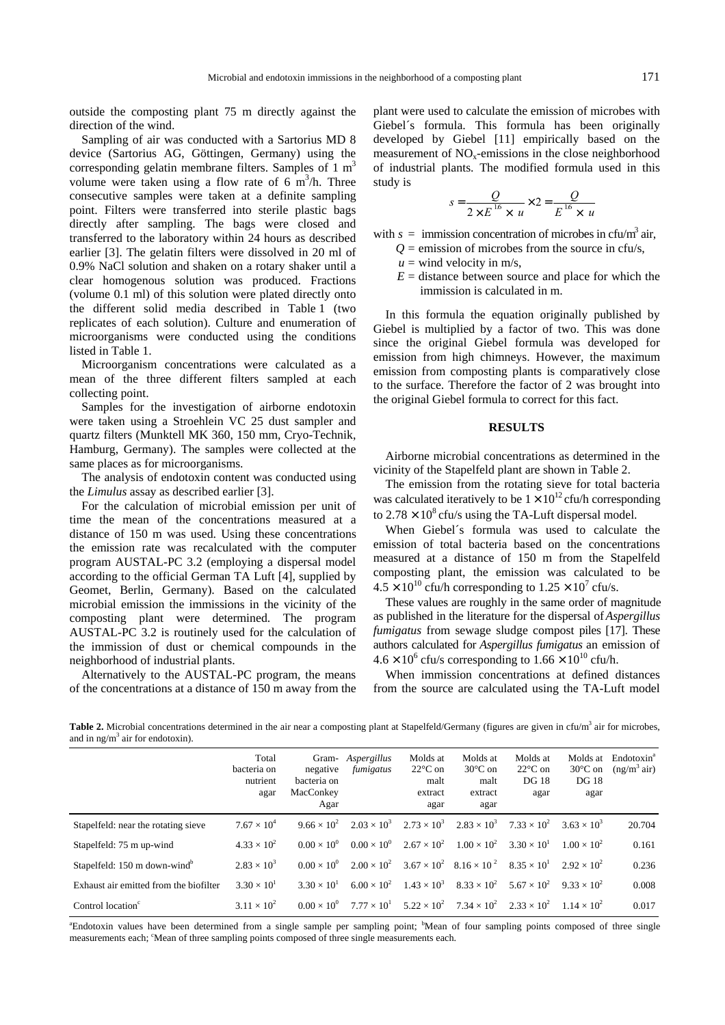outside the composting plant 75 m directly against the direction of the wind.

Sampling of air was conducted with a Sartorius MD 8 device (Sartorius AG, Göttingen, Germany) using the corresponding gelatin membrane filters. Samples of  $1 \text{ m}^3$ volume were taken using a flow rate of  $6 \text{ m}^3/\text{h}$ . Three consecutive samples were taken at a definite sampling point. Filters were transferred into sterile plastic bags directly after sampling. The bags were closed and transferred to the laboratory within 24 hours as described earlier [3]. The gelatin filters were dissolved in 20 ml of 0.9% NaCl solution and shaken on a rotary shaker until a clear homogenous solution was produced. Fractions (volume 0.1 ml) of this solution were plated directly onto the different solid media described in [Table 1 \(](#page-1-0)two replicates of each solution). Culture and enumeration of microorganisms were conducted using the conditions listed i[n Table 1.](#page-1-0) 

Microorganism concentrations were calculated as a mean of the three different filters sampled at each collecting point.

Samples for the investigation of airborne endotoxin were taken using a Stroehlein VC 25 dust sampler and quartz filters (Munktell MK 360, 150 mm, Cryo-Technik, Hamburg, Germany). The samples were collected at the same places as for microorganisms.

The analysis of endotoxin content was conducted using the *Limulus* assay as described earlier [3].

For the calculation of microbial emission per unit of time the mean of the concentrations measured at a distance of 150 m was used. Using these concentrations the emission rate was recalculated with the computer program AUSTAL-PC 3.2 (employing a dispersal model according to the official German TA Luft [4], supplied by Geomet, Berlin, Germany). Based on the calculated microbial emission the immissions in the vicinity of the composting plant were determined. The program AUSTAL-PC 3.2 is routinely used for the calculation of the immission of dust or chemical compounds in the neighborhood of industrial plants.

Alternatively to the AUSTAL-PC program, the means of the concentrations at a distance of 150 m away from the plant were used to calculate the emission of microbes with Giebel´s formula. This formula has been originally developed by Giebel [11] empirically based on the measurement of  $NO<sub>x</sub>$ -emissions in the close neighborhood of industrial plants. The modified formula used in this study is

$$
s = \frac{Q}{2 \times E^{16} \times u} \times 2 = \frac{Q}{E^{16} \times u}
$$

with  $s = \text{immission concentration of microbes in } \text{cfu/m}^3 \text{ air},$ 

- $Q =$  emission of microbes from the source in cfu/s,
- $u =$  wind velocity in m/s,
- $E =$  distance between source and place for which the immission is calculated in m.

In this formula the equation originally published by Giebel is multiplied by a factor of two. This was done since the original Giebel formula was developed for emission from high chimneys. However, the maximum emission from composting plants is comparatively close to the surface. Therefore the factor of 2 was brought into the original Giebel formula to correct for this fact.

## **RESULTS**

Airborne microbial concentrations as determined in the vicinity of the Stapelfeld plant are shown in Table 2.

The emission from the rotating sieve for total bacteria was calculated iteratively to be  $1 \times 10^{12}$  cfu/h corresponding to  $2.78 \times 10^8$  cfu/s using the TA-Luft dispersal model.

When Giebel´s formula was used to calculate the emission of total bacteria based on the concentrations measured at a distance of 150 m from the Stapelfeld composting plant, the emission was calculated to be  $4.5 \times 10^{10}$  cfu/h corresponding to  $1.25 \times 10^{7}$  cfu/s.

These values are roughly in the same order of magnitude as published in the literature for the dispersal of *Aspergillus fumigatus* from sewage sludge compost piles [17]. These authors calculated for *Aspergillus fumigatus* an emission of  $4.6 \times 10^6$  cfu/s corresponding to  $1.66 \times 10^{10}$  cfu/h.

When immission concentrations at defined distances from the source are calculated using the TA-Luft model

Table 2. Microbial concentrations determined in the air near a composting plant at Stapelfeld/Germany (figures are given in cfu/m<sup>3</sup> air for microbes, and in ng/m<sup>3</sup> air for endotoxin).

|                                          | Total<br>bacteria on<br>nutrient<br>agar | negative<br>bacteria on<br>MacConkey<br>Agar | Gram- <i>Aspergillus</i><br>fumigatus | Molds at<br>$22^{\circ}$ C on<br>malt<br>extract<br>agar | Molds at<br>$30^{\circ}$ C on<br>malt<br>extract<br>agar | Molds at<br>$22^{\circ}$ C on<br><b>DG</b> 18<br>agar | Molds at<br>$30^{\circ}$ C on<br><b>DG</b> 18<br>agar | Endotoxin <sup>a</sup><br>(ng/m <sup>3</sup> air) |
|------------------------------------------|------------------------------------------|----------------------------------------------|---------------------------------------|----------------------------------------------------------|----------------------------------------------------------|-------------------------------------------------------|-------------------------------------------------------|---------------------------------------------------|
| Stapelfeld: near the rotating sieve      | $7.67 \times 10^{4}$                     | $9.66 \times 10^{2}$                         | $2.03 \times 10^{3}$                  | $2.73 \times 10^3$                                       | $2.83 \times 10^{3}$                                     | $7.33 \times 10^{2}$                                  | $3.63 \times 10^{3}$                                  | 20.704                                            |
| Stapelfeld: 75 m up-wind                 | $4.33 \times 10^{2}$                     | $0.00 \times 10^{0}$                         | $0.00 \times 10^{0}$                  | $2.67 \times 10^{2}$                                     | $1.00 \times 10^{2}$                                     | $3.30 \times 10^{1}$                                  | $1.00 \times 10^{2}$                                  | 0.161                                             |
| Stapelfeld: 150 m down-wind <sup>b</sup> | $2.83 \times 10^{3}$                     | $0.00 \times 10^{0}$                         | $2.00 \times 10^{2}$                  |                                                          | $3.67 \times 10^{2}$ $8.16 \times 10^{2}$                | $8.35 \times 10^{1}$                                  | $2.92 \times 10^{2}$                                  | 0.236                                             |
| Exhaust air emitted from the biofilter   | $3.30 \times 10^{1}$                     | $3.30 \times 10^{1}$                         | $6.00 \times 10^{2}$                  | $1.43 \times 10^{3}$                                     | $8.33 \times 10^2$ $5.67 \times 10^2$                    |                                                       | $9.33 \times 10^{2}$                                  | 0.008                                             |
| Control location <sup>c</sup>            | $3.11 \times 10^{2}$                     | $0.00 \times 10^{0}$                         | $7.77 \times 10^{1}$                  | $5.22 \times 10^{2}$                                     | $7.34 \times 10^{2}$                                     | $2.33 \times 10^{2}$                                  | $1.14 \times 10^{2}$                                  | 0.017                                             |

<sup>a</sup>Endotoxin values have been determined from a single sample per sampling point; <sup>b</sup>Mean of four sampling points composed of three single measurements each; 'Mean of three sampling points composed of three single measurements each.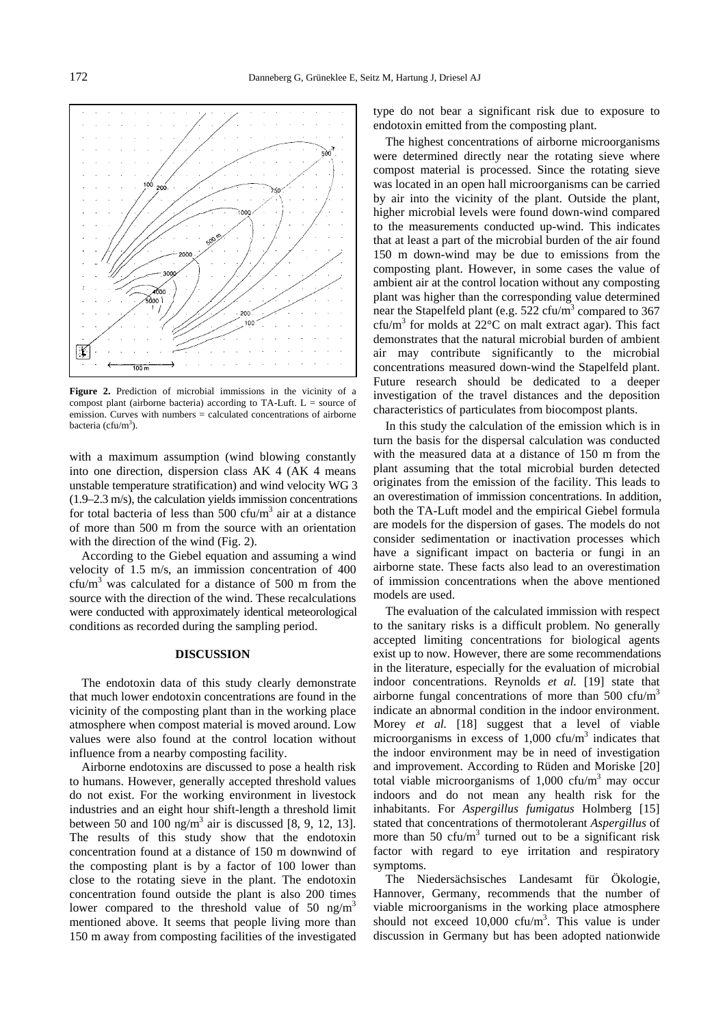

**Figure 2.** Prediction of microbial immissions in the vicinity of a compost plant (airborne bacteria) according to TA-Luft.  $L =$  source of emission. Curves with numbers = calculated concentrations of airborne bacteria (cfu/m<sup>3</sup>).

with a maximum assumption (wind blowing constantly into one direction, dispersion class AK 4 (AK 4 means unstable temperature stratification) and wind velocity WG 3 (1.9–2.3 m/s), the calculation yields immission concentrations for total bacteria of less than  $500 \text{ cfu/m}^3$  air at a distance of more than 500 m from the source with an orientation with the direction of the wind (Fig. 2).

According to the Giebel equation and assuming a wind velocity of 1.5 m/s, an immission concentration of 400  $cfu/m<sup>3</sup>$  was calculated for a distance of 500 m from the source with the direction of the wind. These recalculations were conducted with approximately identical meteorological conditions as recorded during the sampling period.

#### **DISCUSSION**

The endotoxin data of this study clearly demonstrate that much lower endotoxin concentrations are found in the vicinity of the composting plant than in the working place atmosphere when compost material is moved around. Low values were also found at the control location without influence from a nearby composting facility.

Airborne endotoxins are discussed to pose a health risk to humans. However, generally accepted threshold values do not exist. For the working environment in livestock industries and an eight hour shift-length a threshold limit between 50 and 100 ng/m<sup>3</sup> air is discussed [8, 9, 12, 13]. The results of this study show that the endotoxin concentration found at a distance of 150 m downwind of the composting plant is by a factor of 100 lower than close to the rotating sieve in the plant. The endotoxin concentration found outside the plant is also 200 times lower compared to the threshold value of 50  $\text{ng/m}^3$ mentioned above. It seems that people living more than 150 m away from composting facilities of the investigated

type do not bear a significant risk due to exposure to endotoxin emitted from the composting plant.

The highest concentrations of airborne microorganisms were determined directly near the rotating sieve where compost material is processed. Since the rotating sieve was located in an open hall microorganisms can be carried by air into the vicinity of the plant. Outside the plant, higher microbial levels were found down-wind compared to the measurements conducted up-wind. This indicates that at least a part of the microbial burden of the air found 150 m down-wind may be due to emissions from the composting plant. However, in some cases the value of ambient air at the control location without any composting plant was higher than the corresponding value determined near the Stapelfeld plant (e.g.  $522 \text{ cfu/m}^3$  compared to 367  $cfu/m<sup>3</sup>$  for molds at 22 $^{\circ}$ C on malt extract agar). This fact demonstrates that the natural microbial burden of ambient air may contribute significantly to the microbial concentrations measured down-wind the Stapelfeld plant. Future research should be dedicated to a deeper investigation of the travel distances and the deposition characteristics of particulates from biocompost plants.

In this study the calculation of the emission which is in turn the basis for the dispersal calculation was conducted with the measured data at a distance of 150 m from the plant assuming that the total microbial burden detected originates from the emission of the facility. This leads to an overestimation of immission concentrations. In addition, both the TA-Luft model and the empirical Giebel formula are models for the dispersion of gases. The models do not consider sedimentation or inactivation processes which have a significant impact on bacteria or fungi in an airborne state. These facts also lead to an overestimation of immission concentrations when the above mentioned models are used.

The evaluation of the calculated immission with respect to the sanitary risks is a difficult problem. No generally accepted limiting concentrations for biological agents exist up to now. However, there are some recommendations in the literature, especially for the evaluation of microbial indoor concentrations. Reynolds *et al.* [19] state that airborne fungal concentrations of more than 500 cfu/m<sup>3</sup> indicate an abnormal condition in the indoor environment. Morey *et al.* [18] suggest that a level of viable microorganisms in excess of  $1,000$  cfu/m<sup>3</sup> indicates that the indoor environment may be in need of investigation and improvement. According to Rüden and Moriske [20] total viable microorganisms of  $1,000$  cfu/m<sup>3</sup> may occur indoors and do not mean any health risk for the inhabitants. For *Aspergillus fumigatus* Holmberg [15] stated that concentrations of thermotolerant *Aspergillus* of more than 50 cfu/ $m<sup>3</sup>$  turned out to be a significant risk factor with regard to eye irritation and respiratory symptoms.

The Niedersächsisches Landesamt für Ökologie, Hannover, Germany, recommends that the number of viable microorganisms in the working place atmosphere should not exceed  $10,000$  cfu/m<sup>3</sup>. This value is under discussion in Germany but has been adopted nationwide